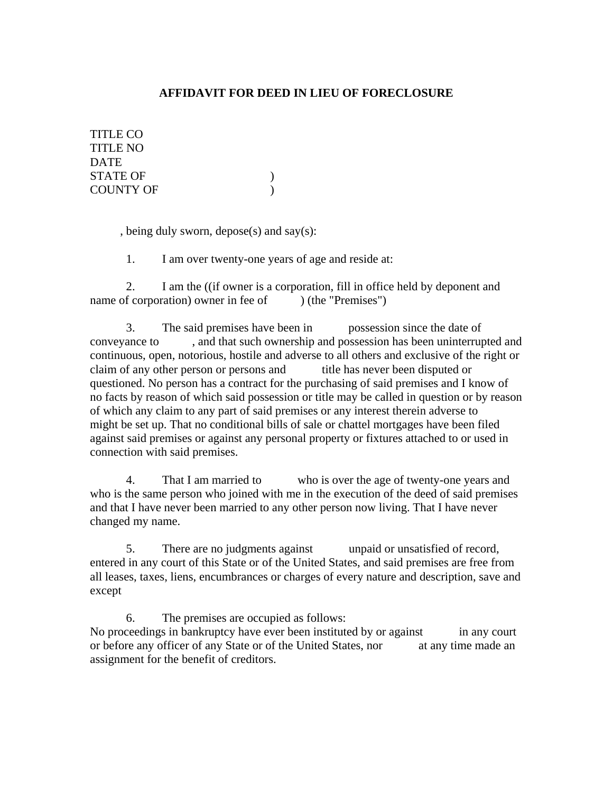## **AFFIDAVIT FOR DEED IN LIEU OF FORECLOSURE**

TITLE CO TITLE NO **DATE** STATE OF  $\qquad \qquad$  ) COUNTY OF  $\qquad \qquad$  )

, being duly sworn, depose(s) and say(s):

1. I am over twenty-one years of age and reside at:

2. I am the ((if owner is a corporation, fill in office held by deponent and name of corporation) owner in fee of  $($  (the "Premises")

3. The said premises have been in possession since the date of conveyance to , and that such ownership and possession has been uninterrupted and continuous, open, notorious, hostile and adverse to all others and exclusive of the right or claim of any other person or persons and title has never been disputed or questioned. No person has a contract for the purchasing of said premises and I know of no facts by reason of which said possession or title may be called in question or by reason of which any claim to any part of said premises or any interest therein adverse to might be set up. That no conditional bills of sale or chattel mortgages have been filed against said premises or against any personal property or fixtures attached to or used in connection with said premises.

4. That I am married to who is over the age of twenty-one years and who is the same person who joined with me in the execution of the deed of said premises and that I have never been married to any other person now living. That I have never changed my name.

5. There are no judgments against unpaid or unsatisfied of record, entered in any court of this State or of the United States, and said premises are free from all leases, taxes, liens, encumbrances or charges of every nature and description, save and except

6. The premises are occupied as follows: No proceedings in bankruptcy have ever been instituted by or against in any court or before any officer of any State or of the United States, nor at any time made an assignment for the benefit of creditors.